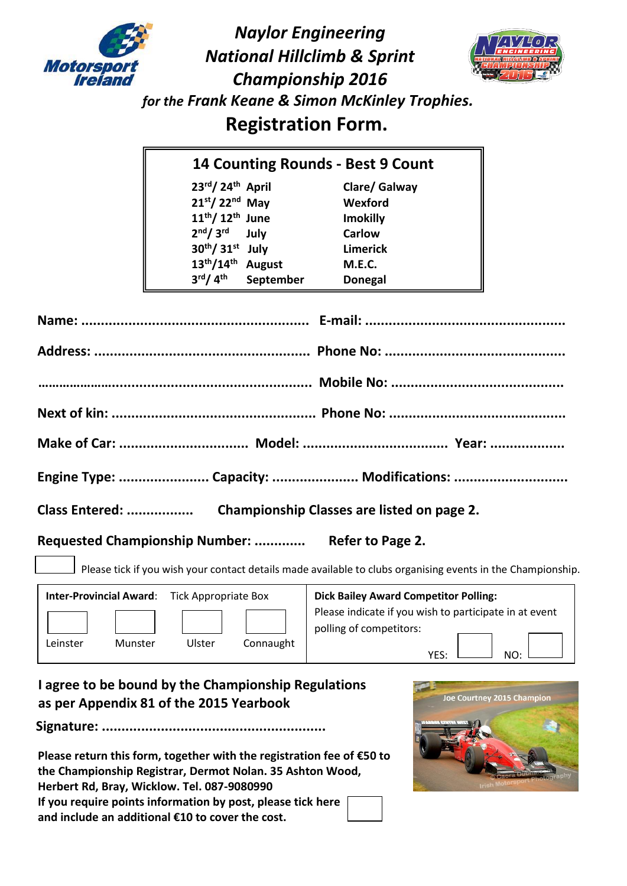

*Naylor Engineering National Hillclimb & Sprint Championship 2016 for the Frank Keane & Simon McKinley Trophies.*  **Registration Form.**



| <b>14 Counting Rounds - Best 9 Count</b> |               |                 |  |  |
|------------------------------------------|---------------|-----------------|--|--|
| 23rd/24th April                          |               | Clare/ Galway   |  |  |
| $21st/22nd$ May                          |               | Wexford         |  |  |
| $11th/ 12th$ June                        |               | <b>Imokilly</b> |  |  |
| 2 <sup>nd</sup> /3 <sup>rd</sup>         | July          | <b>Carlow</b>   |  |  |
| 30th/ 31st July                          |               | <b>Limerick</b> |  |  |
| $13^{th}/14^{th}$                        | <b>August</b> | <b>M.E.C.</b>   |  |  |
| 3 <sup>rd</sup> /4 <sup>th</sup>         | September     | <b>Donegal</b>  |  |  |

| Engine Type:  Capacity:  Modifications: |  |
|-----------------------------------------|--|

**Class Entered: ................. Championship Classes are listed on page 2.**

**Requested Championship Number: ............. Refer to Page 2.**

Please tick if you wish your contact details made available to clubs organising events in the Championship.

| <b>Inter-Provincial Award:</b> | <b>Tick Appropriate Box</b> | <b>Dick Bailey Award Competitor Polling:</b>                                                          |
|--------------------------------|-----------------------------|-------------------------------------------------------------------------------------------------------|
| Munster<br>Leinster            | Connaught<br>Ulster         | Please indicate if you wish to participate in at event<br>polling of competitors:<br>$N \cap$<br>YES: |

# **I agree to be bound by the Championship Regulations as per Appendix 81 of the 2015 Yearbook**

**Signature: .........................................................**

 **Please return this form, together with the registration fee of €50 to the Championship Registrar, Dermot Nolan. 35 Ashton Wood, Herbert Rd, Bray, Wicklow. Tel. 087-9080990 If you require points information by post, please tick here and include an additional €10 to cover the cost.**